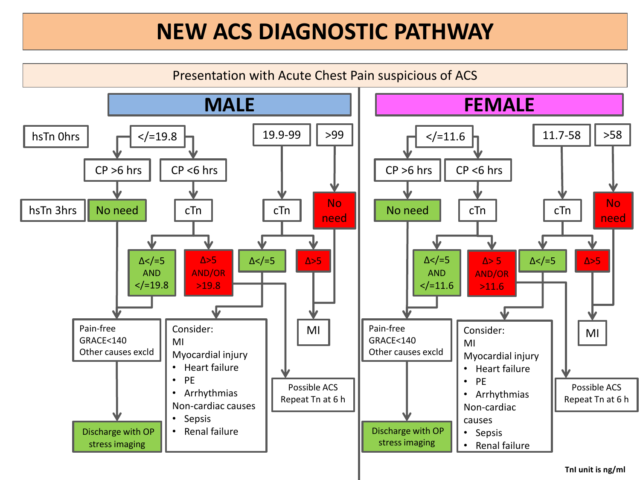## **NEW ACS DIAGNOSTIC PATHWAY**



**TnI unit is ng/ml**